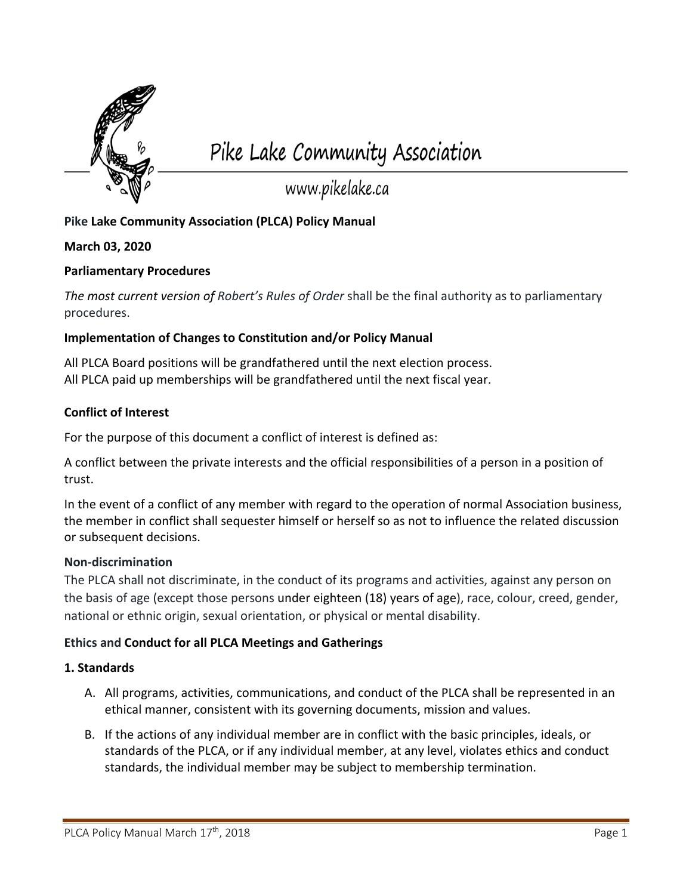

Pike Lake Community Association

www.pikelake.ca

# **Pike Lake Community Association (PLCA) Policy Manual**

# **March 03, 2020**

# **Parliamentary Procedures**

*The most current version of Robert's Rules of Order* shall be the final authority as to parliamentary procedures.

# **Implementation of Changes to Constitution and/or Policy Manual**

All PLCA Board positions will be grandfathered until the next election process. All PLCA paid up memberships will be grandfathered until the next fiscal year.

# **Conflict of Interest**

For the purpose of this document a conflict of interest is defined as:

A conflict between the private interests and the official responsibilities of a person in a position of trust.

In the event of a conflict of any member with regard to the operation of normal Association business, the member in conflict shall sequester himself or herself so as not to influence the related discussion or subsequent decisions.

## **Non-discrimination**

The PLCA shall not discriminate, in the conduct of its programs and activities, against any person on the basis of age (except those persons under eighteen (18) years of age), race, colour, creed, gender, national or ethnic origin, sexual orientation, or physical or mental disability.

# **Ethics and Conduct for all PLCA Meetings and Gatherings**

## **1. Standards**

- A. All programs, activities, communications, and conduct of the PLCA shall be represented in an ethical manner, consistent with its governing documents, mission and values.
- B. If the actions of any individual member are in conflict with the basic principles, ideals, or standards of the PLCA, or if any individual member, at any level, violates ethics and conduct standards, the individual member may be subject to membership termination.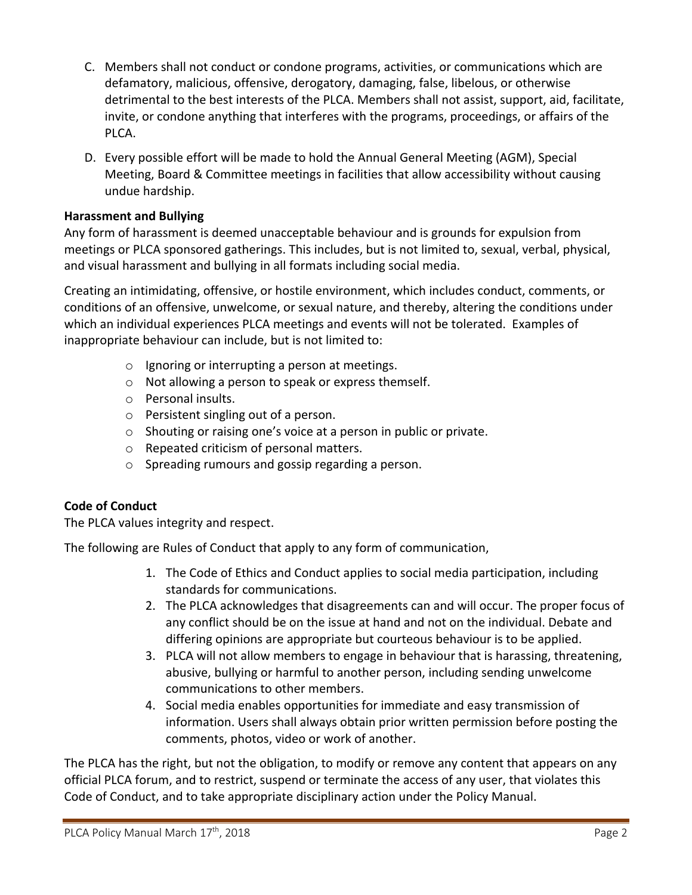- C. Members shall not conduct or condone programs, activities, or communications which are defamatory, malicious, offensive, derogatory, damaging, false, libelous, or otherwise detrimental to the best interests of the PLCA. Members shall not assist, support, aid, facilitate, invite, or condone anything that interferes with the programs, proceedings, or affairs of the PLCA.
- D. Every possible effort will be made to hold the Annual General Meeting (AGM), Special Meeting, Board & Committee meetings in facilities that allow accessibility without causing undue hardship.

# **Harassment and Bullying**

Any form of harassment is deemed unacceptable behaviour and is grounds for expulsion from meetings or PLCA sponsored gatherings. This includes, but is not limited to, sexual, verbal, physical, and visual harassment and bullying in all formats including social media.

Creating an intimidating, offensive, or hostile environment, which includes conduct, comments, or conditions of an offensive, unwelcome, or sexual nature, and thereby, altering the conditions under which an individual experiences PLCA meetings and events will not be tolerated. Examples of inappropriate behaviour can include, but is not limited to:

- o Ignoring or interrupting a person at meetings.
- o Not allowing a person to speak or express themself.
- o Personal insults.
- o Persistent singling out of a person.
- o Shouting or raising one's voice at a person in public or private.
- o Repeated criticism of personal matters.
- o Spreading rumours and gossip regarding a person.

# **Code of Conduct**

The PLCA values integrity and respect.

The following are Rules of Conduct that apply to any form of communication,

- 1. The Code of Ethics and Conduct applies to social media participation, including standards for communications.
- 2. The PLCA acknowledges that disagreements can and will occur. The proper focus of any conflict should be on the issue at hand and not on the individual. Debate and differing opinions are appropriate but courteous behaviour is to be applied.
- 3. PLCA will not allow members to engage in behaviour that is harassing, threatening, abusive, bullying or harmful to another person, including sending unwelcome communications to other members.
- 4. Social media enables opportunities for immediate and easy transmission of information. Users shall always obtain prior written permission before posting the comments, photos, video or work of another.

The PLCA has the right, but not the obligation, to modify or remove any content that appears on any official PLCA forum, and to restrict, suspend or terminate the access of any user, that violates this Code of Conduct, and to take appropriate disciplinary action under the Policy Manual.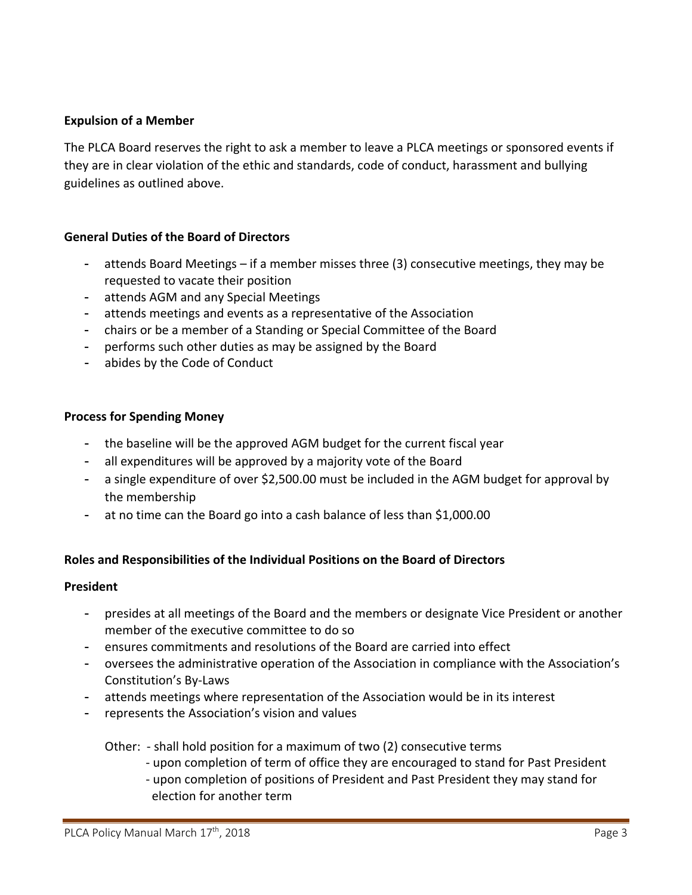# **Expulsion of a Member**

The PLCA Board reserves the right to ask a member to leave a PLCA meetings or sponsored events if they are in clear violation of the ethic and standards, code of conduct, harassment and bullying guidelines as outlined above.

# **General Duties of the Board of Directors**

- attends Board Meetings if a member misses three (3) consecutive meetings, they may be requested to vacate their position
- attends AGM and any Special Meetings
- attends meetings and events as a representative of the Association
- chairs or be a member of a Standing or Special Committee of the Board
- performs such other duties as may be assigned by the Board
- abides by the Code of Conduct

## **Process for Spending Money**

- the baseline will be the approved AGM budget for the current fiscal year
- all expenditures will be approved by a majority vote of the Board
- a single expenditure of over \$2,500.00 must be included in the AGM budget for approval by the membership
- at no time can the Board go into a cash balance of less than \$1,000.00

## **Roles and Responsibilities of the Individual Positions on the Board of Directors**

#### **President**

- presides at all meetings of the Board and the members or designate Vice President or another member of the executive committee to do so
- ensures commitments and resolutions of the Board are carried into effect
- oversees the administrative operation of the Association in compliance with the Association's Constitution's By-Laws
- attends meetings where representation of the Association would be in its interest
- represents the Association's vision and values

Other: - shall hold position for a maximum of two (2) consecutive terms

- upon completion of term of office they are encouraged to stand for Past President
- upon completion of positions of President and Past President they may stand for election for another term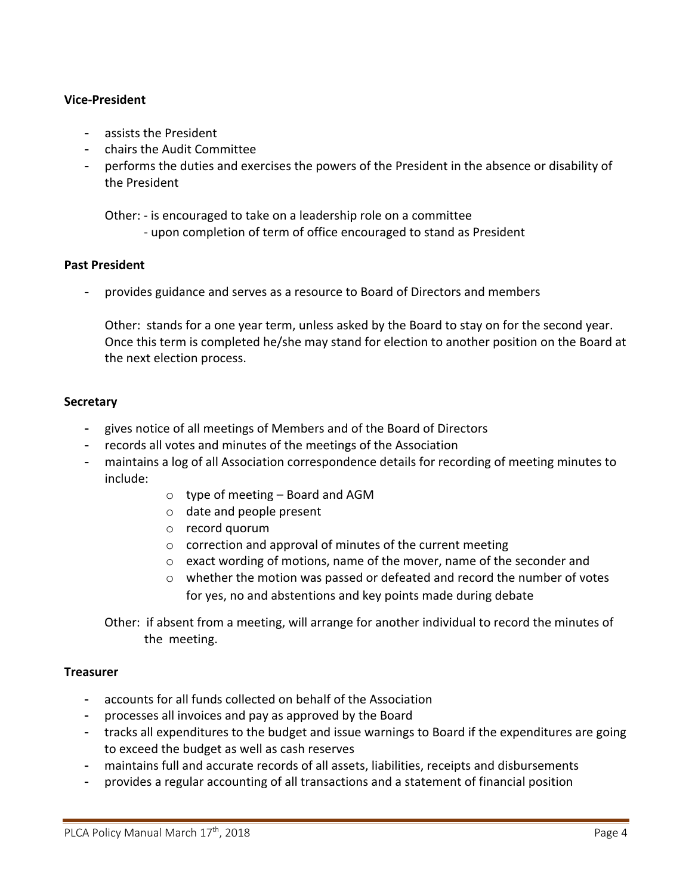# **Vice-President**

- assists the President
- chairs the Audit Committee
- performs the duties and exercises the powers of the President in the absence or disability of the President

 Other: - is encouraged to take on a leadership role on a committee - upon completion of term of office encouraged to stand as President

### **Past President**

provides guidance and serves as a resource to Board of Directors and members

Other: stands for a one year term, unless asked by the Board to stay on for the second year. Once this term is completed he/she may stand for election to another position on the Board at the next election process.

### **Secretary**

- gives notice of all meetings of Members and of the Board of Directors
- records all votes and minutes of the meetings of the Association
- maintains a log of all Association correspondence details for recording of meeting minutes to include:
	- $\circ$  type of meeting Board and AGM
	- o date and people present
	- o record quorum
	- o correction and approval of minutes of the current meeting
	- $\circ$  exact wording of motions, name of the mover, name of the seconder and
	- $\circ$  whether the motion was passed or defeated and record the number of votes for yes, no and abstentions and key points made during debate

Other: if absent from a meeting, will arrange for another individual to record the minutes of the meeting.

#### **Treasurer**

- accounts for all funds collected on behalf of the Association
- processes all invoices and pay as approved by the Board
- tracks all expenditures to the budget and issue warnings to Board if the expenditures are going to exceed the budget as well as cash reserves
- maintains full and accurate records of all assets, liabilities, receipts and disbursements
- provides a regular accounting of all transactions and a statement of financial position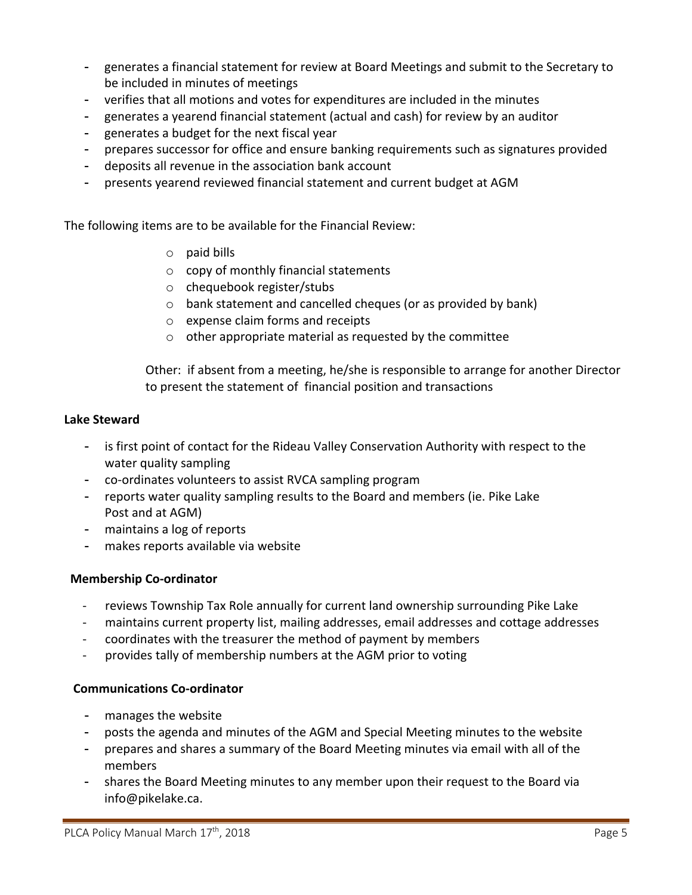- generates a financial statement for review at Board Meetings and submit to the Secretary to be included in minutes of meetings
- verifies that all motions and votes for expenditures are included in the minutes
- generates a yearend financial statement (actual and cash) for review by an auditor
- generates a budget for the next fiscal year
- prepares successor for office and ensure banking requirements such as signatures provided
- deposits all revenue in the association bank account
- presents yearend reviewed financial statement and current budget at AGM

The following items are to be available for the Financial Review:

- o paid bills
- o copy of monthly financial statements
- o chequebook register/stubs
- o bank statement and cancelled cheques (or as provided by bank)
- o expense claim forms and receipts
- $\circ$  other appropriate material as requested by the committee

Other: if absent from a meeting, he/she is responsible to arrange for another Director to present the statement of financial position and transactions

## **Lake Steward**

- is first point of contact for the Rideau Valley Conservation Authority with respect to the water quality sampling
- co-ordinates volunteers to assist RVCA sampling program
- reports water quality sampling results to the Board and members (ie. Pike Lake Post and at AGM)
- maintains a log of reports
- makes reports available via website

## **Membership Co-ordinator**

- reviews Township Tax Role annually for current land ownership surrounding Pike Lake
- maintains current property list, mailing addresses, email addresses and cottage addresses
- coordinates with the treasurer the method of payment by members
- provides tally of membership numbers at the AGM prior to voting

## **Communications Co-ordinator**

- manages the website
- posts the agenda and minutes of the AGM and Special Meeting minutes to the website
- prepares and shares a summary of the Board Meeting minutes via email with all of the members
- shares the Board Meeting minutes to any member upon their request to the Board via info@pikelake.ca.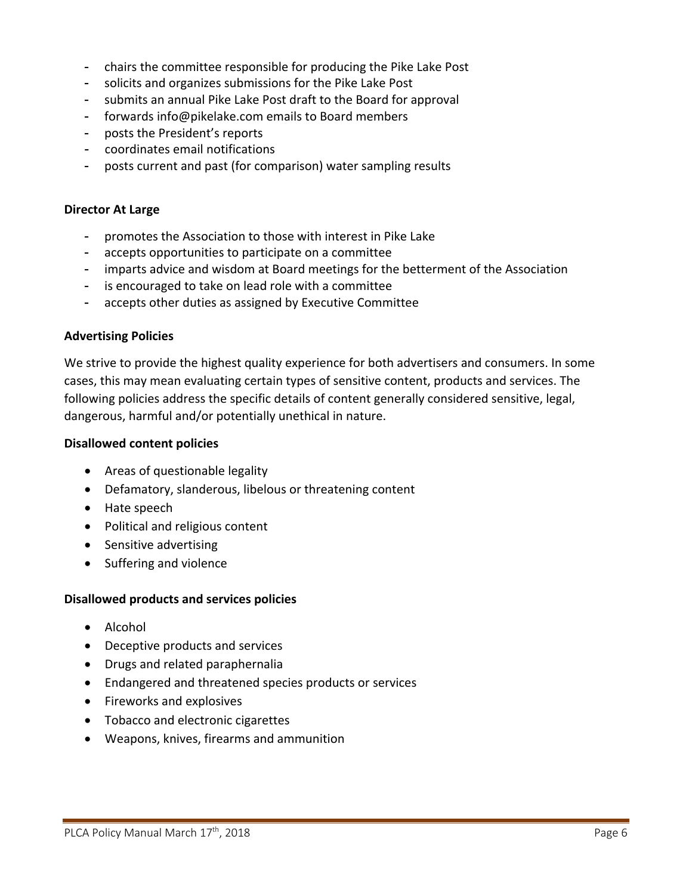- chairs the committee responsible for producing the Pike Lake Post
- solicits and organizes submissions for the Pike Lake Post
- submits an annual Pike Lake Post draft to the Board for approval
- forwards info@pikelake.com emails to Board members
- posts the President's reports
- coordinates email notifications
- posts current and past (for comparison) water sampling results

### **Director At Large**

- promotes the Association to those with interest in Pike Lake
- accepts opportunities to participate on a committee
- imparts advice and wisdom at Board meetings for the betterment of the Association
- is encouraged to take on lead role with a committee
- accepts other duties as assigned by Executive Committee

## **Advertising Policies**

We strive to provide the highest quality experience for both advertisers and consumers. In some cases, this may mean evaluating certain types of sensitive content, products and services. The following policies address the specific details of content generally considered sensitive, legal, dangerous, harmful and/or potentially unethical in nature.

### **Disallowed content policies**

- Areas of questionable legality
- Defamatory, slanderous, libelous or threatening content
- Hate speech
- Political and religious content
- Sensitive advertising
- Suffering and violence

## **Disallowed products and services policies**

- Alcohol
- Deceptive products and services
- Drugs and related paraphernalia
- Endangered and threatened species products or services
- Fireworks and explosives
- Tobacco and electronic cigarettes
- Weapons, knives, firearms and ammunition